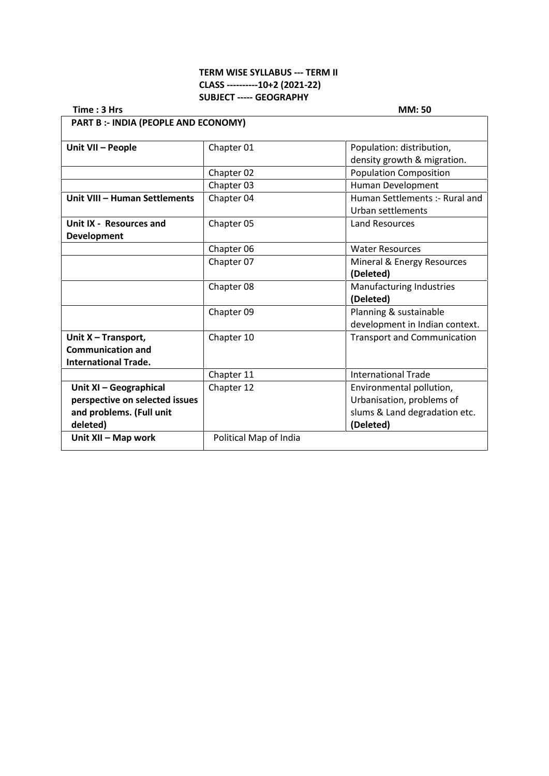## **TERM WISE SYLLABUS --- TERM II CLASS ----------10+2 (2021-22) SUBJECT ----- GEOGRAPHY**

**Time : 3 Hrs MM: 50**

 $\overline{\phantom{a}}$ 

| PART B :- INDIA (PEOPLE AND ECONOMY) |                        |                                    |  |
|--------------------------------------|------------------------|------------------------------------|--|
| Unit VII - People                    | Chapter 01             | Population: distribution,          |  |
|                                      |                        | density growth & migration.        |  |
|                                      | Chapter 02             | <b>Population Composition</b>      |  |
|                                      | Chapter 03             | Human Development                  |  |
| Unit VIII - Human Settlements        | Chapter 04             | Human Settlements :- Rural and     |  |
|                                      |                        | Urban settlements                  |  |
| Unit IX - Resources and              | Chapter 05             | <b>Land Resources</b>              |  |
| <b>Development</b>                   |                        |                                    |  |
|                                      | Chapter 06             | <b>Water Resources</b>             |  |
|                                      | Chapter 07             | Mineral & Energy Resources         |  |
|                                      |                        | (Deleted)                          |  |
|                                      | Chapter 08             | Manufacturing Industries           |  |
|                                      |                        | (Deleted)                          |  |
|                                      | Chapter 09             | Planning & sustainable             |  |
|                                      |                        | development in Indian context.     |  |
| Unit X - Transport,                  | Chapter 10             | <b>Transport and Communication</b> |  |
| <b>Communication and</b>             |                        |                                    |  |
| <b>International Trade.</b>          |                        |                                    |  |
|                                      | Chapter 11             | <b>International Trade</b>         |  |
| Unit XI - Geographical               | Chapter 12             | Environmental pollution,           |  |
| perspective on selected issues       |                        | Urbanisation, problems of          |  |
| and problems. (Full unit             |                        | slums & Land degradation etc.      |  |
| deleted)                             |                        | (Deleted)                          |  |
| Unit XII - Map work                  | Political Map of India |                                    |  |
|                                      |                        |                                    |  |